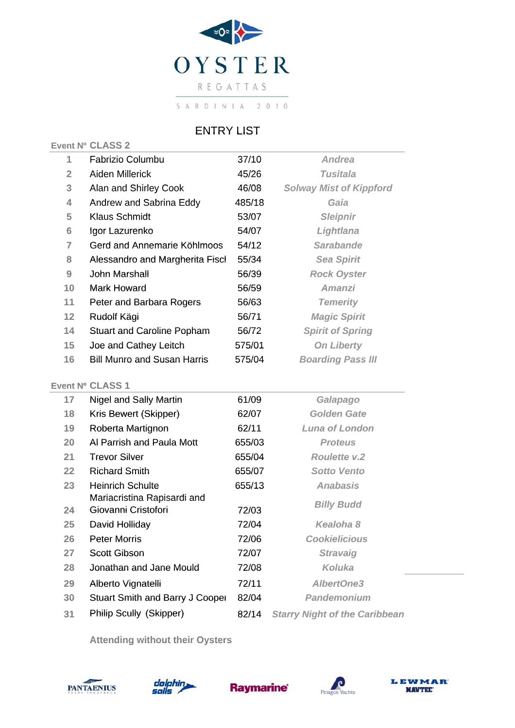

## ENTRY LIST

## Event Nº CLASS 2

| 1                 | Fabrizio Columbu                   | 37/10  | <b>Andrea</b>                  |
|-------------------|------------------------------------|--------|--------------------------------|
| $\overline{2}$    | Aiden Millerick                    | 45/26  | Tusitala                       |
| 3                 | Alan and Shirley Cook              | 46/08  | <b>Solway Mist of Kippford</b> |
| 4                 | Andrew and Sabrina Eddy            | 485/18 | Gaia                           |
| 5                 | Klaus Schmidt                      | 53/07  | <b>Sleipnir</b>                |
| 6                 | Igor Lazurenko                     | 54/07  | Lightlana                      |
| 7                 | Gerd and Annemarie Köhlmoos        | 54/12  | <b>Sarabande</b>               |
| 8                 | Alessandro and Margherita Fisch    | 55/34  | <b>Sea Spirit</b>              |
| 9                 | John Marshall                      | 56/39  | <b>Rock Oyster</b>             |
| 10                | Mark Howard                        | 56/59  | <b>Amanzi</b>                  |
| 11                | Peter and Barbara Rogers           | 56/63  | <b>Temerity</b>                |
| $12 \overline{ }$ | Rudolf Kägi                        | 56/71  | <b>Magic Spirit</b>            |
| 14                | <b>Stuart and Caroline Popham</b>  | 56/72  | <b>Spirit of Spring</b>        |
| 15                | Joe and Cathey Leitch              | 575/01 | <b>On Liberty</b>              |
| 16                | <b>Bill Munro and Susan Harris</b> | 575/04 | <b>Boarding Pass III</b>       |
|                   |                                    |        |                                |

## **Event Nº CLASS 1**

| 17 | Nigel and Sally Martin                             | 61/09  | Galapago                             |
|----|----------------------------------------------------|--------|--------------------------------------|
| 18 | Kris Bewert (Skipper)                              | 62/07  | <b>Golden Gate</b>                   |
| 19 | Roberta Martignon                                  | 62/11  | Luna of London                       |
| 20 | Al Parrish and Paula Mott                          | 655/03 | <b>Proteus</b>                       |
| 21 | <b>Trevor Silver</b>                               | 655/04 | <b>Roulette v.2</b>                  |
| 22 | <b>Richard Smith</b>                               | 655/07 | <b>Sotto Vento</b>                   |
| 23 | Heinrich Schulte                                   | 655/13 | <b>Anabasis</b>                      |
| 24 | Mariacristina Rapisardi and<br>Giovanni Cristofori | 72/03  | <b>Billy Budd</b>                    |
| 25 | David Holliday                                     | 72/04  | Kealoha 8                            |
| 26 | <b>Peter Morris</b>                                | 72/06  | <b>Cookielicious</b>                 |
| 27 | <b>Scott Gibson</b>                                | 72/07  | <b>Stravaig</b>                      |
| 28 | Jonathan and Jane Mould                            | 72/08  | Koluka                               |
| 29 | Alberto Vignatelli                                 | 72/11  | <b>AlbertOne3</b>                    |
| 30 | <b>Stuart Smith and Barry J Cooper</b>             | 82/04  | <b>Pandemonium</b>                   |
| 31 | Philip Scully (Skipper)                            | 82/14  | <b>Starry Night of the Caribbean</b> |

**Attending without their Oysters**